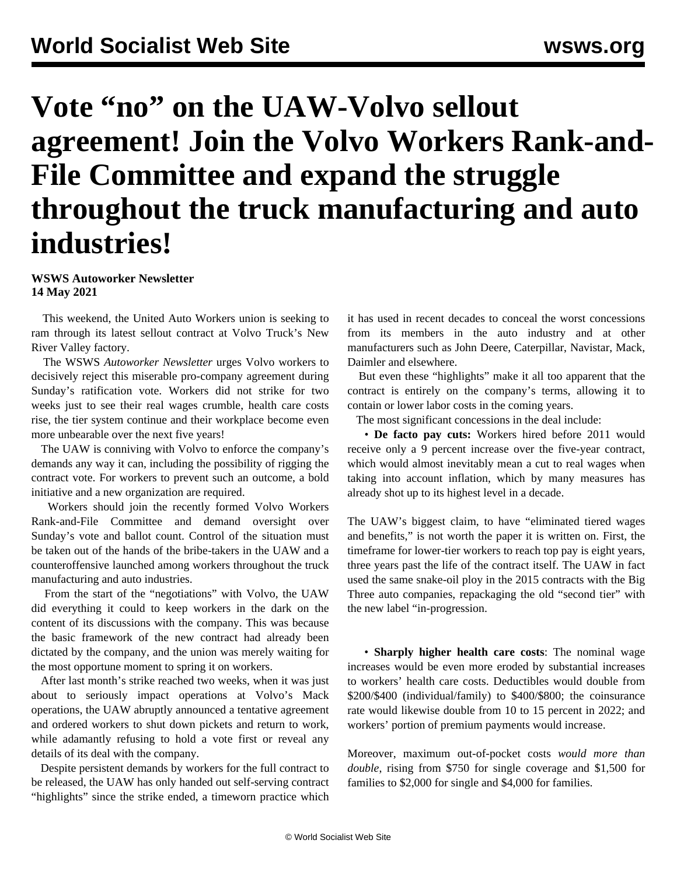## **Vote "no" on the UAW-Volvo sellout agreement! Join the Volvo Workers Rank-and-File Committee and expand the struggle throughout the truck manufacturing and auto industries!**

## **WSWS Autoworker Newsletter 14 May 2021**

 This weekend, the United Auto Workers union is seeking to ram through its latest sellout contract at Volvo Truck's New River Valley factory.

 The WSWS *Autoworker Newsletter* urges Volvo workers to decisively reject this miserable pro-company agreement during Sunday's ratification vote. Workers did not strike for two weeks just to see their real wages crumble, health care costs rise, the tier system continue and their workplace become even more unbearable over the next five years!

 The UAW is conniving with Volvo to enforce the company's demands any way it can, including the possibility of rigging the contract vote. For workers to prevent such an outcome, a bold initiative and a new organization are required.

 Workers should join the recently formed Volvo Workers Rank-and-File Committee and demand oversight over Sunday's vote and ballot count. Control of the situation must be taken out of the hands of the bribe-takers in the UAW and a counteroffensive launched among workers throughout the truck manufacturing and auto industries.

 From the start of the "negotiations" with Volvo, the UAW did everything it could to keep workers in the dark on the content of its discussions with the company. This was because the basic framework of the new contract had already been dictated by the company, and the union was merely waiting for the most opportune moment to spring it on workers.

 After last month's strike reached two weeks, when it was just about to seriously impact operations at Volvo's Mack operations, the UAW abruptly announced a tentative agreement and ordered workers to shut down pickets and return to work, while adamantly refusing to hold a vote first or reveal any details of its deal with the company.

 Despite persistent demands by workers for the full contract to be released, the UAW has only handed out self-serving contract "highlights" since the strike ended, a timeworn practice which it has used in recent decades to conceal the worst concessions from its members in the auto industry and at other manufacturers such as John Deere, Caterpillar, Navistar, Mack, Daimler and elsewhere.

 But even these "highlights" make it all too apparent that the contract is entirely on the company's terms, allowing it to contain or lower labor costs in the coming years.

The most significant concessions in the deal include:

 • **De facto pay cuts:** Workers hired before 2011 would receive only a 9 percent increase over the five-year contract, which would almost inevitably mean a cut to real wages when taking into account inflation, which by many measures has already shot up to its highest level in a decade.

The UAW's biggest claim, to have "eliminated tiered wages and benefits," is not worth the paper it is written on. First, the timeframe for lower-tier workers to reach top pay is eight years, three years past the life of the contract itself. The UAW in fact used the same snake-oil ploy in the [2015 contracts with the Big](/en/articles/2016/09/17/auto-s17.html) [Three auto companies](/en/articles/2016/09/17/auto-s17.html), repackaging the old "second tier" with the new label "in-progression.

 • **Sharply higher health care costs**: The nominal wage increases would be even more eroded by substantial increases to workers' health care costs. Deductibles would double from \$200/\$400 (individual/family) to \$400/\$800; the coinsurance rate would likewise double from 10 to 15 percent in 2022; and workers' portion of premium payments would increase.

Moreover, maximum out-of-pocket costs *would more than double*, rising from \$750 for single coverage and \$1,500 for families to \$2,000 for single and \$4,000 for families.